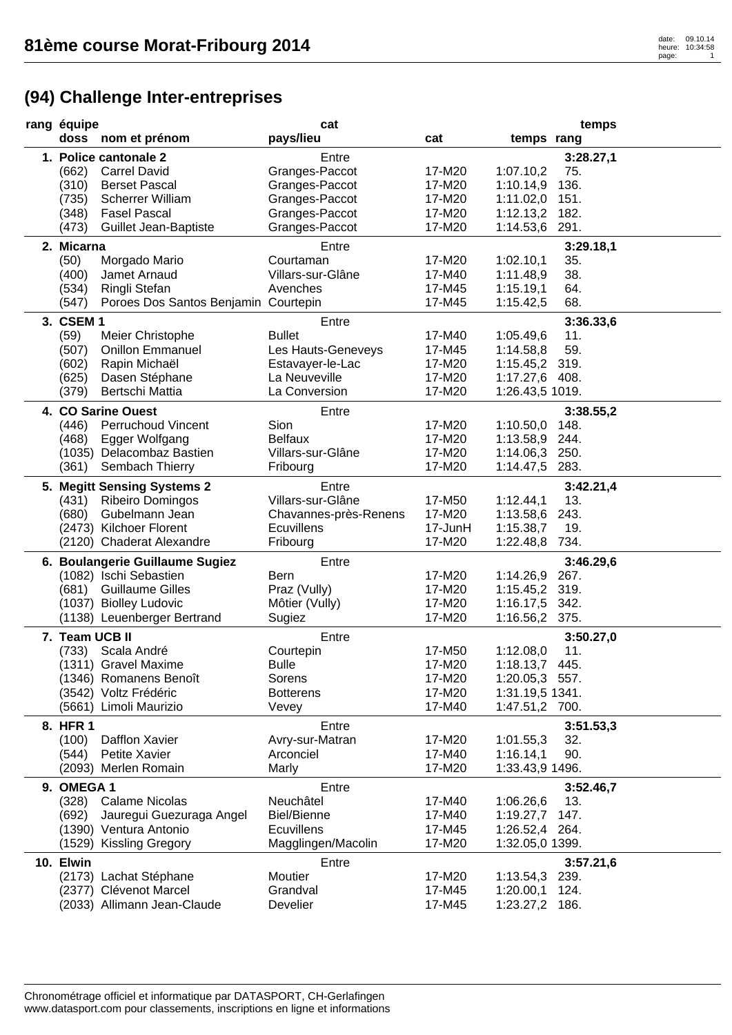| rang équipe    |                                      | cat                   |         |                 | temps     |
|----------------|--------------------------------------|-----------------------|---------|-----------------|-----------|
|                | doss nom et prénom                   | pays/lieu             | cat     | temps rang      |           |
|                | 1. Police cantonale 2                | Entre                 |         |                 | 3:28.27,1 |
| (662)          | <b>Carrel David</b>                  | Granges-Paccot        | 17-M20  | 1:07.10,2       | 75.       |
| (310)          | <b>Berset Pascal</b>                 | Granges-Paccot        | 17-M20  | 1:10.14,9       | 136.      |
| (735)          | <b>Scherrer William</b>              | Granges-Paccot        | 17-M20  | 1:11.02,0       | 151.      |
| (348)          | <b>Fasel Pascal</b>                  | Granges-Paccot        | 17-M20  | 1:12.13,2       | 182.      |
| (473)          | <b>Guillet Jean-Baptiste</b>         | Granges-Paccot        | 17-M20  | 1:14.53,6       | 291.      |
|                |                                      |                       |         |                 |           |
| 2. Micarna     |                                      | Entre                 |         |                 | 3:29.18,1 |
| (50)           | Morgado Mario                        | Courtaman             | 17-M20  | 1:02.10,1       | 35.       |
| (400)          | Jamet Arnaud                         | Villars-sur-Glâne     | 17-M40  | 1:11.48,9       | 38.       |
| (534)          | Ringli Stefan                        | Avenches              | 17-M45  | 1:15.19,1       | 64.       |
| (547)          | Poroes Dos Santos Benjamin Courtepin |                       | 17-M45  | 1:15.42,5       | 68.       |
| 3. CSEM 1      |                                      | Entre                 |         |                 | 3:36.33,6 |
| (59)           | Meier Christophe                     | <b>Bullet</b>         | 17-M40  | 1:05.49,6       | 11.       |
| (507)          | <b>Onillon Emmanuel</b>              | Les Hauts-Geneveys    | 17-M45  | 1:14.58,8       | 59.       |
| (602)          | Rapin Michaël                        | Estavayer-le-Lac      | 17-M20  | 1:15.45,2 319.  |           |
| (625)          | Dasen Stéphane                       | La Neuveville         | 17-M20  | 1:17.27,6 408.  |           |
| (379)          | Bertschi Mattia                      | La Conversion         | 17-M20  | 1:26.43,5 1019. |           |
|                | 4. CO Sarine Ouest                   | Entre                 |         |                 | 3:38.55,2 |
| (446)          | <b>Perruchoud Vincent</b>            | Sion                  | 17-M20  | 1:10.50,0       | 148.      |
| (468)          | Egger Wolfgang                       | <b>Belfaux</b>        | 17-M20  | 1:13.58,9 244.  |           |
|                | (1035) Delacombaz Bastien            | Villars-sur-Glâne     | 17-M20  | 1:14.06,3 250.  |           |
| (361)          | Sembach Thierry                      | Fribourg              | 17-M20  | 1:14.47,5 283.  |           |
|                |                                      |                       |         |                 |           |
|                | 5. Megitt Sensing Systems 2          | Entre                 |         |                 | 3:42.21,4 |
|                | (431) Ribeiro Domingos               | Villars-sur-Glâne     | 17-M50  | 1:12.44,1       | 13.       |
| (680)          | Gubelmann Jean                       | Chavannes-près-Renens | 17-M20  | 1:13.58,6       | 243.      |
|                | (2473) Kilchoer Florent              | <b>Ecuvillens</b>     | 17-JunH | 1:15.38,7       | 19.       |
|                | (2120) Chaderat Alexandre            | Fribourg              | 17-M20  | 1:22.48,8 734.  |           |
|                | 6. Boulangerie Guillaume Sugiez      | Entre                 |         |                 | 3:46.29,6 |
|                | (1082) Ischi Sebastien               | <b>Bern</b>           | 17-M20  | 1:14.26,9 267.  |           |
|                | (681) Guillaume Gilles               | Praz (Vully)          | 17-M20  | 1:15.45,2 319.  |           |
|                | (1037) Biolley Ludovic               | Môtier (Vully)        | 17-M20  | 1:16.17,5 342.  |           |
|                | (1138) Leuenberger Bertrand          | Sugiez                | 17-M20  | 1:16.56,2 375.  |           |
| 7. Team UCB II |                                      | Entre                 |         |                 | 3:50.27,0 |
| (733)          | Scala André                          | Courtepin             | 17-M50  | 1:12.08,0       | 11.       |
|                | (1311) Gravel Maxime                 | <b>Bulle</b>          | 17-M20  | 1:18.13,7       | 445.      |
|                | (1346) Romanens Benoît               | Sorens                | 17-M20  | 1:20.05,3 557.  |           |
|                | (3542) Voltz Frédéric                | <b>Botterens</b>      | 17-M20  | 1:31.19,5 1341. |           |
|                | (5661) Limoli Maurizio               | Vevey                 | 17-M40  | 1:47.51,2 700.  |           |
|                |                                      |                       |         |                 |           |
| 8. HFR 1       | Dafflon Xavier                       | Entre                 |         |                 | 3:51.53,3 |
| (100)          |                                      | Avry-sur-Matran       | 17-M20  | 1:01.55,3       | 32.       |
| (544)          | Petite Xavier                        | Arconciel             | 17-M40  | 1:16.14,1       | 90.       |
|                | (2093) Merlen Romain                 | Marly                 | 17-M20  | 1:33.43,9 1496. |           |
| 9. OMEGA 1     |                                      | Entre                 |         |                 | 3:52.46,7 |
| (328)          | <b>Calame Nicolas</b>                | Neuchâtel             | 17-M40  | 1:06.26,6       | 13.       |
| (692)          | Jauregui Guezuraga Angel             | <b>Biel/Bienne</b>    | 17-M40  | 1:19.27,7 147.  |           |
|                | (1390) Ventura Antonio               | <b>Ecuvillens</b>     | 17-M45  | 1:26.52,4 264.  |           |
|                | (1529) Kissling Gregory              | Magglingen/Macolin    | 17-M20  | 1:32.05,0 1399. |           |
| 10. Elwin      |                                      | Entre                 |         |                 | 3:57.21,6 |
|                | (2173) Lachat Stéphane               | Moutier               | 17-M20  | 1:13.54,3       | 239.      |
|                | (2377) Clévenot Marcel               | Grandval              | 17-M45  | 1:20.00,1       | 124.      |
|                | (2033) Allimann Jean-Claude          | Develier              | 17-M45  | 1:23.27,2 186.  |           |
|                |                                      |                       |         |                 |           |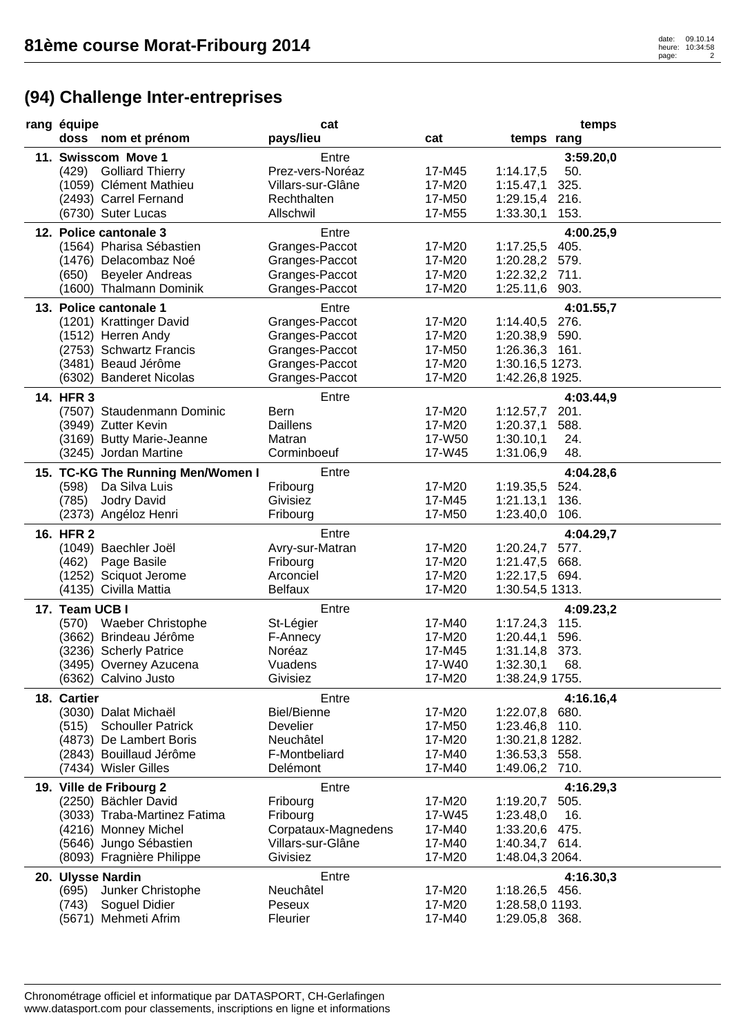| rang équipe                                          | cat                              |                  | temps                            |
|------------------------------------------------------|----------------------------------|------------------|----------------------------------|
| doss nom et prénom                                   | pays/lieu                        | cat              | temps rang                       |
| 11. Swisscom Move 1                                  | Entre                            |                  | 3:59.20,0                        |
| (429) Golliard Thierry                               | Prez-vers-Noréaz                 | 17-M45           | 1:14.17,5<br>50.                 |
| (1059) Clément Mathieu                               | Villars-sur-Glâne                | 17-M20           | 1:15.47,1<br>325.                |
| (2493) Carrel Fernand                                | Rechthalten                      | 17-M50           | 1:29.15,4 216.                   |
| (6730) Suter Lucas                                   | Allschwil                        | 17-M55           | 1:33.30,1<br>153.                |
|                                                      |                                  |                  |                                  |
| 12. Police cantonale 3                               | Entre                            | 17-M20           | 4:00.25,9                        |
| (1564) Pharisa Sébastien<br>(1476) Delacombaz Noé    | Granges-Paccot<br>Granges-Paccot | 17-M20           | 1:17.25,5 405.<br>1:20.28,2 579. |
| (650) Beyeler Andreas                                | Granges-Paccot                   | 17-M20           | 1:22.32,2 711.                   |
| (1600) Thalmann Dominik                              | Granges-Paccot                   | 17-M20           | 1:25.11,6 903.                   |
|                                                      |                                  |                  |                                  |
| 13. Police cantonale 1                               | Entre                            |                  | 4:01.55,7                        |
| (1201) Krattinger David                              | Granges-Paccot                   | 17-M20           | 1:14.40,5 276.                   |
| (1512) Herren Andy                                   | Granges-Paccot                   | 17-M20           | 1:20.38,9 590.                   |
| (2753) Schwartz Francis                              | Granges-Paccot                   | 17-M50           | 1:26.36,3 161.                   |
| (3481) Beaud Jérôme                                  | Granges-Paccot                   | 17-M20           | 1:30.16,5 1273.                  |
| (6302) Banderet Nicolas                              | Granges-Paccot                   | 17-M20           | 1:42.26,8 1925.                  |
| 14. HFR 3                                            | Entre                            |                  | 4:03.44,9                        |
| (7507) Staudenmann Dominic                           | Bern                             | 17-M20           | 1:12.57,7<br>201.                |
| (3949) Zutter Kevin                                  | Daillens                         | 17-M20           | 588.<br>1:20.37,1                |
| (3169) Butty Marie-Jeanne                            | Matran                           | 17-W50           | 1:30.10,1<br>24.                 |
| (3245) Jordan Martine                                | Corminboeuf                      | 17-W45           | 48.<br>1:31.06,9                 |
| 15. TC-KG The Running Men/Women I                    | Entre                            |                  | 4:04.28,6                        |
| Da Silva Luis<br>(598)                               | Fribourg                         | 17-M20           | 1:19.35,5 524.                   |
| (785)<br>Jodry David                                 | Givisiez                         | 17-M45           | 1:21.13,1<br>136.                |
| (2373) Angéloz Henri                                 | Fribourg                         | 17-M50           | 1:23.40,0<br>106.                |
| 16. HFR 2                                            | Entre                            |                  | 4:04.29,7                        |
| (1049) Baechler Joël                                 | Avry-sur-Matran                  | 17-M20           | 1:20.24,7<br>577.                |
| Page Basile<br>(462)                                 | Fribourg                         | 17-M20           | 1:21.47,5 668.                   |
| (1252) Sciquot Jerome                                | Arconciel                        | 17-M20           | 1:22.17,5 694.                   |
| (4135) Civilla Mattia                                | <b>Belfaux</b>                   | 17-M20           | 1:30.54,5 1313.                  |
| 17. Team UCB I                                       | Entre                            |                  | 4:09.23,2                        |
| (570) Waeber Christophe                              | St-Légier                        | 17-M40           | 1:17.24,3<br>115.                |
| (3662) Brindeau Jérôme                               | F-Annecy                         | 17-M20           | 1:20.44,1<br>596.                |
| (3236) Scherly Patrice                               | Noréaz                           | 17-M45           | 1:31.14,8<br>373.                |
| (3495) Overney Azucena                               | Vuadens                          | 17-W40           | 1:32.30,1<br>68.                 |
| (6362) Calvino Justo                                 | Givisiez                         | 17-M20           | 1:38.24,9 1755.                  |
| 18. Cartier                                          | Entre                            |                  | 4:16.16,4                        |
| (3030) Dalat Michaël                                 | <b>Biel/Bienne</b>               | 17-M20           | 1:22.07,8 680.                   |
| <b>Schouller Patrick</b><br>(515)                    | Develier                         | 17-M50           | 1:23.46,8 110.                   |
| (4873) De Lambert Boris                              | Neuchâtel                        | 17-M20           | 1:30.21,8 1282.                  |
| (2843) Bouillaud Jérôme                              | F-Montbeliard                    | 17-M40           | 1:36.53,3 558.                   |
| (7434) Wisler Gilles                                 | Delémont                         | 17-M40           | 1:49.06,2 710.                   |
| 19. Ville de Fribourg 2                              | Entre                            |                  | 4:16.29,3                        |
| (2250) Bächler David                                 | Fribourg                         | 17-M20           | 1:19.20,7<br>505.                |
| (3033) Traba-Martinez Fatima                         | Fribourg                         | 17-W45           | 16.<br>1:23.48,0                 |
| (4216) Monney Michel                                 | Corpataux-Magnedens              | 17-M40           | 1:33.20,6 475.                   |
| (5646) Jungo Sébastien                               | Villars-sur-Glâne                | 17-M40           | 1:40.34,7 614.                   |
| (8093) Fragnière Philippe                            | Givisiez                         | 17-M20           | 1:48.04,3 2064.                  |
|                                                      |                                  |                  |                                  |
| 20. Ulysse Nardin                                    | Entre<br>Neuchâtel               |                  | 4:16.30,3                        |
| (695)<br>Junker Christophe<br>(743)<br>Soguel Didier | Peseux                           | 17-M20<br>17-M20 | 1:18.26,5 456.                   |
|                                                      |                                  |                  | 1:28.58,0 1193.                  |
| (5671) Mehmeti Afrim                                 | Fleurier                         | 17-M40           | 1:29.05,8 368.                   |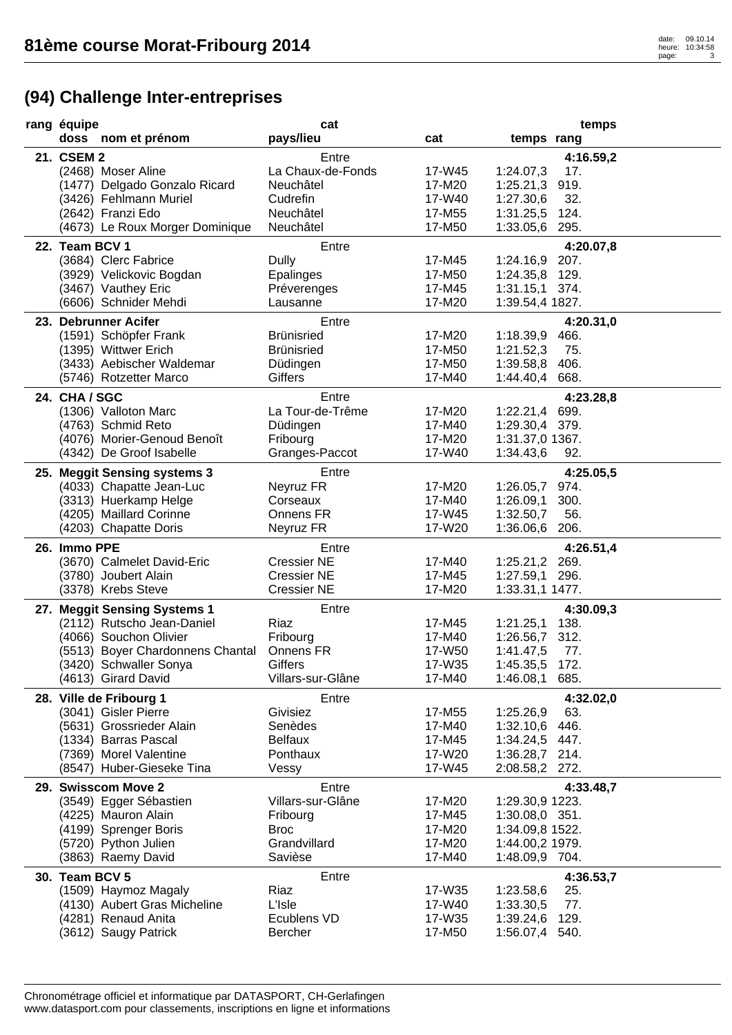| rang équipe                                                | cat                |        | temps                          |  |
|------------------------------------------------------------|--------------------|--------|--------------------------------|--|
| doss nom et prénom                                         | pays/lieu          | cat    | temps rang                     |  |
| 21. CSEM 2                                                 | Entre              |        | 4:16.59,2                      |  |
| (2468) Moser Aline                                         | La Chaux-de-Fonds  | 17-W45 | 1:24.07,3<br>17.               |  |
| (1477) Delgado Gonzalo Ricard                              | Neuchâtel          | 17-M20 | 1:25.21,3 919.                 |  |
| (3426) Fehlmann Muriel                                     | Cudrefin           | 17-W40 | 1:27.30,6<br>32.               |  |
| (2642) Franzi Edo                                          | Neuchâtel          | 17-M55 | 1:31.25,5 124.                 |  |
| (4673) Le Roux Morger Dominique                            | Neuchâtel          | 17-M50 | 1:33.05,6<br>295.              |  |
| 22. Team BCV 1                                             | Entre              |        | 4:20.07,8                      |  |
| (3684) Clerc Fabrice                                       | Dully              | 17-M45 | 1:24.16,9 207.                 |  |
| (3929) Velickovic Bogdan                                   | Epalinges          | 17-M50 | 1:24.35,8 129.                 |  |
| (3467) Vauthey Eric                                        | Préverenges        | 17-M45 | $1:31.15,1$ 374.               |  |
| (6606) Schnider Mehdi                                      | Lausanne           | 17-M20 | 1:39.54,4 1827.                |  |
|                                                            |                    |        |                                |  |
| 23. Debrunner Acifer                                       | Entre              |        | 4:20.31,0                      |  |
| (1591) Schöpfer Frank                                      | <b>Brünisried</b>  | 17-M20 | 1:18.39,9<br>466.              |  |
| (1395) Wittwer Erich                                       | <b>Brünisried</b>  | 17-M50 | 1:21.52,3<br>75.               |  |
| (3433) Aebischer Waldemar                                  | Düdingen           | 17-M50 | 1:39.58,8<br>406.              |  |
| (5746) Rotzetter Marco                                     | Giffers            | 17-M40 | 1:44.40,4 668.                 |  |
| 24. CHA / SGC                                              | Entre              |        | 4:23.28,8                      |  |
| (1306) Valloton Marc                                       | La Tour-de-Trême   | 17-M20 | 1:22.21,4 699.                 |  |
| (4763) Schmid Reto                                         | Düdingen           | 17-M40 | 1:29.30,4 379.                 |  |
| (4076) Morier-Genoud Benoît                                | Fribourg           | 17-M20 | 1:31.37,0 1367.                |  |
| (4342) De Groof Isabelle                                   | Granges-Paccot     | 17-W40 | 1:34.43,6<br>92.               |  |
| 25. Meggit Sensing systems 3                               | Entre              |        | 4:25.05,5                      |  |
| (4033) Chapatte Jean-Luc                                   | Neyruz FR          | 17-M20 | 1:26.05,7 974.                 |  |
| (3313) Huerkamp Helge                                      | Corseaux           | 17-M40 | 300.<br>1:26.09,1              |  |
| (4205) Maillard Corinne                                    | Onnens FR          | 17-W45 | 1:32.50,7<br>56.               |  |
| (4203) Chapatte Doris                                      | Neyruz FR          | 17-W20 | 1:36.06,6 206.                 |  |
| 26. Immo PPE                                               | Entre              |        | 4:26.51,4                      |  |
| (3670) Calmelet David-Eric                                 | <b>Cressier NE</b> | 17-M40 | 1:25.21,2 269.                 |  |
| (3780) Joubert Alain                                       | <b>Cressier NE</b> | 17-M45 | 1:27.59,1 296.                 |  |
| (3378) Krebs Steve                                         | <b>Cressier NE</b> | 17-M20 | 1:33.31,1 1477.                |  |
|                                                            | Entre              |        |                                |  |
| 27. Meggit Sensing Systems 1<br>(2112) Rutscho Jean-Daniel | Riaz               | 17-M45 | 4:30.09,3<br>1:21.25,1<br>138. |  |
| (4066) Souchon Olivier                                     | Fribourg           | 17-M40 | 1:26.56,7 312.                 |  |
| (5513) Boyer Chardonnens Chantal                           | Onnens FR          | 17-W50 | 77.<br>1:41.47,5               |  |
| (3420) Schwaller Sonya                                     | Giffers            | 17-W35 | 172.<br>1:45.35,5              |  |
| (4613) Girard David                                        | Villars-sur-Glâne  | 17-M40 | 1:46.08,1 685.                 |  |
|                                                            |                    |        |                                |  |
| 28. Ville de Fribourg 1                                    | Entre              |        | 4:32.02,0                      |  |
| (3041) Gisler Pierre                                       | Givisiez           | 17-M55 | 1:25.26,9<br>63.               |  |
| (5631) Grossrieder Alain                                   | Senèdes            | 17-M40 | 1:32.10,6<br>446.              |  |
| (1334) Barras Pascal                                       | <b>Belfaux</b>     | 17-M45 | 1:34.24,5 447.                 |  |
| (7369) Morel Valentine                                     | Ponthaux           | 17-W20 | 1:36.28,7 214.                 |  |
| (8547) Huber-Gieseke Tina                                  | Vessy              | 17-W45 | 2:08.58,2 272.                 |  |
| 29. Swisscom Move 2                                        | Entre              |        | 4:33.48,7                      |  |
| (3549) Egger Sébastien                                     | Villars-sur-Glâne  | 17-M20 | 1:29.30,9 1223.                |  |
| (4225) Mauron Alain                                        | Fribourg           | 17-M45 | 1:30.08,0 351.                 |  |
| (4199) Sprenger Boris                                      | <b>Broc</b>        | 17-M20 | 1:34.09,8 1522.                |  |
| (5720) Python Julien                                       | Grandvillard       | 17-M20 | 1:44.00,2 1979.                |  |
| (3863) Raemy David                                         | Savièse            | 17-M40 | 1:48.09,9 704.                 |  |
| 30. Team BCV 5                                             | Entre              |        | 4:36.53,7                      |  |
| (1509) Haymoz Magaly                                       | Riaz               | 17-W35 | 1:23.58,6<br>25.               |  |
| (4130) Aubert Gras Micheline                               | L'Isle             | 17-W40 | 1:33.30,5<br>77.               |  |
| (4281) Renaud Anita                                        | Ecublens VD        | 17-W35 | 1:39.24,6<br>129.              |  |
| (3612) Saugy Patrick                                       | Bercher            | 17-M50 | 1:56.07,4 540.                 |  |